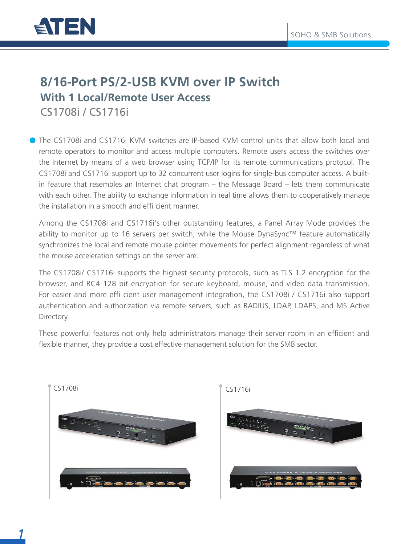

### **8/16-Port PS/2-USB KVM over IP Switch With 1 Local/Remote User Access** CS1708i / CS1716i

The CS1708i and CS1716i KVM switches are IP-based KVM control units that allow both local and remote operators to monitor and access multiple computers. Remote users access the switches over the Internet by means of a web browser using TCP/IP for its remote communications protocol. The CS1708i and CS1716i support up to 32 concurrent user logins for single-bus computer access. A builtin feature that resembles an Internet chat program – the Message Board – lets them communicate with each other. The ability to exchange information in real time allows them to cooperatively manage the installation in a smooth and effi cient manner.

Among the CS1708i and CS1716i's other outstanding features, a Panel Array Mode provides the ability to monitor up to 16 servers per switch; while the Mouse DynaSync™ feature automatically synchronizes the local and remote mouse pointer movements for perfect alignment regardless of what the mouse acceleration settings on the server are.

The CS1708i/ CS1716i supports the highest security protocols, such as TLS 1.2 encryption for the browser, and RC4 128 bit encryption for secure keyboard, mouse, and video data transmission. For easier and more effi cient user management integration, the CS1708i / CS1716i also support authentication and authorization via remote servers, such as RADIUS, LDAP, LDAPS, and MS Active Directory.

These powerful features not only help administrators manage their server room in an efficient and flexible manner, they provide a cost effective management solution for the SMB sector.



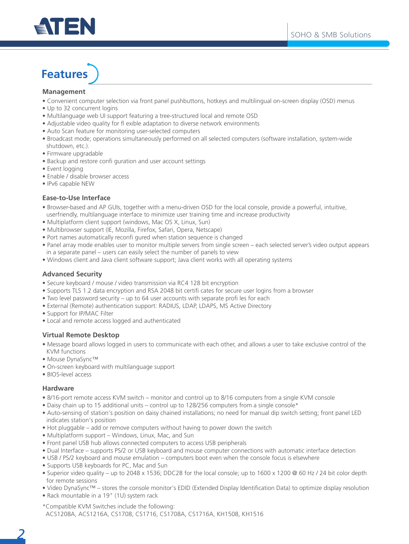

# **Features**

#### **Management**

- Convenient computer selection via front panel pushbuttons, hotkeys and multilingual on-screen display (OSD) menus
- Up to 32 concurrent logins
- Multilanguage web UI support featuring a tree-structured local and remote OSD
- Adjustable video quality for fl exible adaptation to diverse network environments
- Auto Scan feature for monitoring user-selected computers
- Broadcast mode; operations simultaneously performed on all selected computers (software installation, system-wide shutdown, etc.).
- Firmware upgradable
- Backup and restore confi guration and user account settings
- Event logging
- Enable / disable browser access
- IPv6 capable NEW

#### **Ease-to-Use Interface**

- Browser-based and AP GUIs, together with a menu-driven OSD for the local console, provide a powerful, intuitive, userfriendly, multilanguage interface to minimize user training time and increase productivity
- Multiplatform client support (windows, Mac OS X, Linux, Sun)
- Multibrowser support (IE, Mozilla, Firefox, Safari, Opera, Netscape)
- Port names automatically reconfi gured when station sequence is changed
- Panel array mode enables user to monitor multiple servers from single screen each selected server's video output appears in a separate panel – users can easily select the number of panels to view
- Windows client and Java client software support; Java client works with all operating systems

#### **Advanced Security**

- Secure keyboard / mouse / video transmission via RC4 128 bit encryption
- Supports TLS 1.2 data encryption and RSA 2048 bit certifi cates for secure user logins from a browser
- Two level password security up to 64 user accounts with separate profi les for each
- External (Remote) authentication support: RADIUS, LDAP, LDAPS, MS Active Directory
- Support for IP/MAC Filter
- Local and remote access logged and authenticated

#### **Virtual Remote Desktop**

- Message board allows logged in users to communicate with each other, and allows a user to take exclusive control of the KVM functions
- Mouse DynaSync™
- On-screen keyboard with multilanguage support
- BIOS-level access

#### **Hardware**

- 8/16-port remote access KVM switch monitor and control up to 8/16 computers from a single KVM console
- Daisy chain up to 15 additional units control up to 128/256 computers from a single console\*
- Auto-sensing of station's position on daisy chained installations; no need for manual dip switch setting; front panel LED indicates station's position
- Hot pluggable add or remove computers without having to power down the switch
- Multiplatform support Windows, Linux, Mac, and Sun
- Front panel USB hub allows connected computers to access USB peripherals
- Dual Interface supports PS/2 or USB keyboard and mouse computer connections with automatic interface detection
- USB / PS/2 keyboard and mouse emulation computers boot even when the console focus is elsewhere
- Supports USB keyboards for PC, Mac and Sun
- Superior video quality up to 2048 x 1536; DDC2B for the local console; up to 1600 x 1200 @ 60 Hz / 24 bit color depth for remote sessions
- Video DynaSync™ stores the console monitor's EDID (Extended Display Identification Data) to optimize display resolution
- Rack mountable in a 19" (1U) system rack
- \*Compatible KVM Switches include the following: ACS1208A, ACS1216A, CS1708, CS1716, CS1708A, CS1716A, KH1508, KH1516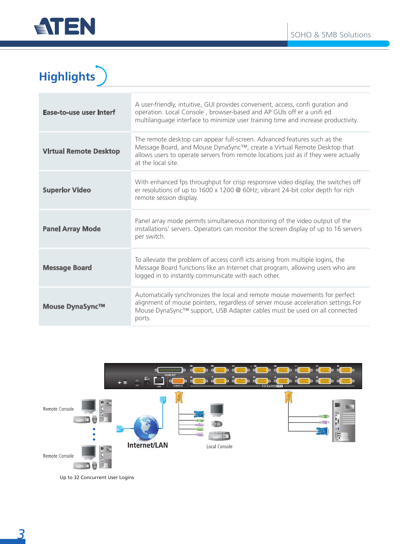

## **Highlights**

| <b>Ease-to-use user interf</b> | A user-friendly, intuitive, GUI provides convenient, access, confi guration and<br>operation. Local Console, browser-based and AP GUIs off er a unifi ed<br>multilanguage interface to minimize user training time and increase productivity.                     |
|--------------------------------|-------------------------------------------------------------------------------------------------------------------------------------------------------------------------------------------------------------------------------------------------------------------|
| <b>Virtual Remote Desktop</b>  | The remote desktop can appear full-screen. Advanced features such as the<br>Message Board, and Mouse DynaSync™, create a Virtual Remote Desktop that<br>allows users to operate servers from remote locations just as if they were actually<br>at the local site. |
| <b>Superior Video</b>          | With enhanced fps throughput for crisp responsive video display, the switches off<br>er resolutions of up to 1600 x 1200 @ 60Hz; vibrant 24-bit color depth for rich<br>remote session display.                                                                   |
| <b>Panel Array Mode</b>        | Panel array mode permits simultaneous monitoring of the video output of the<br>installations' servers. Operators can monitor the screen display of up to 16 servers<br>per switch.                                                                                |
| <b>Message Board</b>           | To alleviate the problem of access confl icts arising from multiple logins, the<br>Message Board functions like an Internet chat program, allowing users who are<br>logged in to instantly communicate with each other.                                           |
| <b>Mouse DynaSync™</b>         | Automatically synchronizes the local and remote mouse movements for perfect<br>alignment of mouse pointers, regardless of server mouse acceleration settings. For<br>Mouse DynaSync™ support, USB Adapter cables must be used on all connected<br>ports.          |



Up to 32 Concurrent User Logins